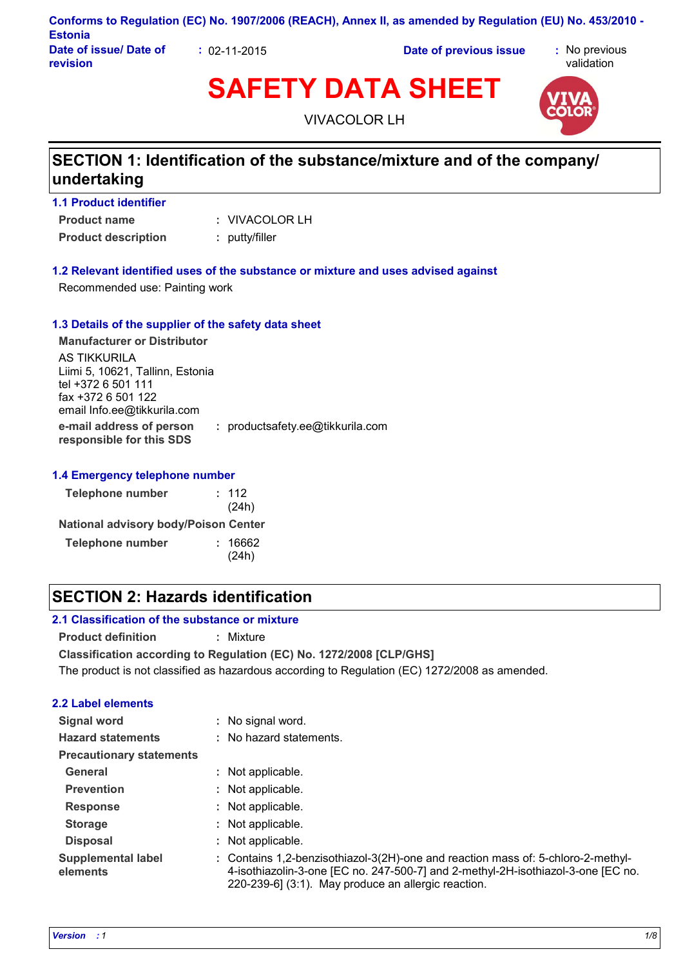| <b>Estonia</b>                     |                    | Conforms to Regulation (EC) No. 1907/2006 (REACH), Annex II, as amended by Regulation (EU) No. 453/2010 - |                             |
|------------------------------------|--------------------|-----------------------------------------------------------------------------------------------------------|-----------------------------|
| Date of issue/ Date of<br>revision | $: 02 - 11 - 2015$ | Date of previous issue                                                                                    | : No previous<br>validation |

# **SAFETY DATA SHEET**



VIVACOLOR LH

# **SECTION 1: Identification of the substance/mixture and of the company/ undertaking**

#### **1.1 Product identifier**

**Product name Product description :** putty/filler

VIVACOLOR LH **:**

#### **1.2 Relevant identified uses of the substance or mixture and uses advised against**

Recommended use: Painting work

#### **1.3 Details of the supplier of the safety data sheet**

**e-mail address of person responsible for this SDS :** productsafety.ee@tikkurila.com **Manufacturer or Distributor** AS TIKKURILA Liimi 5, 10621, Tallinn, Estonia tel +372 6 501 111 fax +372 6 501 122 email Info.ee@tikkurila.com

#### **1.4 Emergency telephone number**

| <b>Telephone number</b>                     | : 112<br>(24h)   |
|---------------------------------------------|------------------|
| <b>National advisory body/Poison Center</b> |                  |
| <b>Telephone number</b>                     | : 16662<br>(24h) |

# **SECTION 2: Hazards identification**

#### **2.1 Classification of the substance or mixture**

**Product definition :** Mixture

**Classification according to Regulation (EC) No. 1272/2008 [CLP/GHS]** The product is not classified as hazardous according to Regulation (EC) 1272/2008 as amended.

#### **2.2 Label elements**

| Signal word                           | : No signal word.                                                                                                                                                                                                           |
|---------------------------------------|-----------------------------------------------------------------------------------------------------------------------------------------------------------------------------------------------------------------------------|
| <b>Hazard statements</b>              | : No hazard statements.                                                                                                                                                                                                     |
| <b>Precautionary statements</b>       |                                                                                                                                                                                                                             |
| General                               | : Not applicable.                                                                                                                                                                                                           |
| <b>Prevention</b>                     | : Not applicable.                                                                                                                                                                                                           |
| <b>Response</b>                       | : Not applicable.                                                                                                                                                                                                           |
| <b>Storage</b>                        | : Not applicable.                                                                                                                                                                                                           |
| <b>Disposal</b>                       | : Not applicable.                                                                                                                                                                                                           |
| <b>Supplemental label</b><br>elements | : Contains 1,2-benzisothiazol-3(2H)-one and reaction mass of: 5-chloro-2-methyl-<br>4-isothiazolin-3-one [EC no. 247-500-7] and 2-methyl-2H-isothiazol-3-one [EC no.<br>220-239-6] (3:1). May produce an allergic reaction. |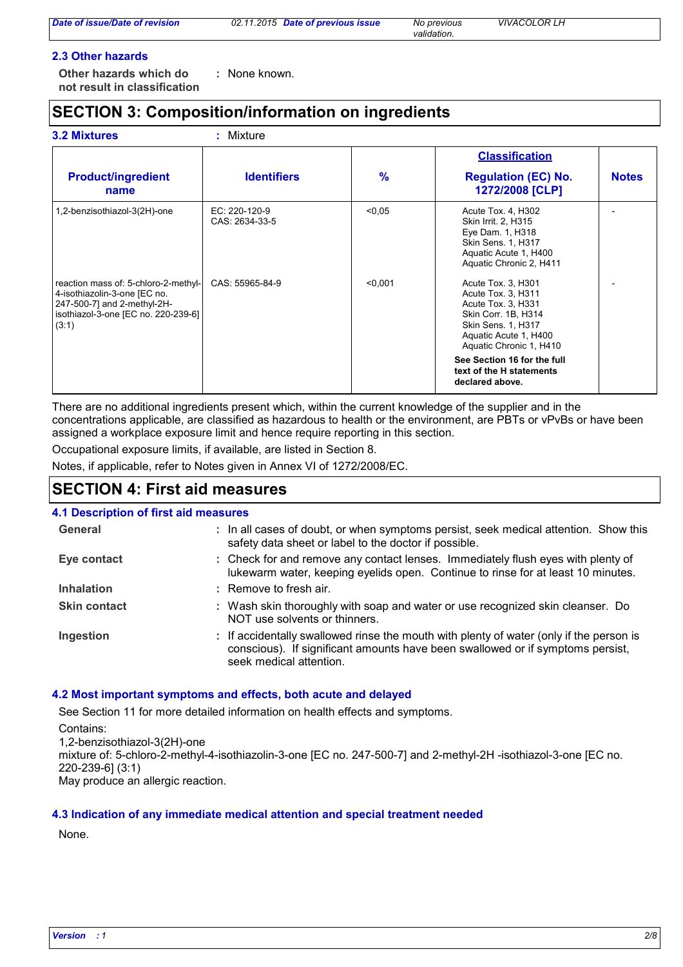#### **2.3 Other hazards**

**Other hazards which do : not result in classification** : None known.

# **SECTION 3: Composition/information on ingredients**

|                                                                                                                                                     |                                 |         | <b>Classification</b>                                                                                                                                                                                                                         |              |
|-----------------------------------------------------------------------------------------------------------------------------------------------------|---------------------------------|---------|-----------------------------------------------------------------------------------------------------------------------------------------------------------------------------------------------------------------------------------------------|--------------|
| <b>Product/ingredient</b><br>name                                                                                                                   | <b>Identifiers</b>              | $\%$    | <b>Regulation (EC) No.</b><br>1272/2008 [CLP]                                                                                                                                                                                                 | <b>Notes</b> |
| 1,2-benzisothiazol-3(2H)-one                                                                                                                        | EC: 220-120-9<br>CAS: 2634-33-5 | < 0.05  | Acute Tox. 4, H302<br>Skin Irrit. 2, H315<br>Eye Dam. 1, H318<br>Skin Sens. 1, H317<br>Aquatic Acute 1, H400<br>Aquatic Chronic 2, H411                                                                                                       |              |
| reaction mass of: 5-chloro-2-methyl-<br>4-isothiazolin-3-one [EC no.<br>247-500-7] and 2-methyl-2H-<br>isothiazol-3-one [EC no. 220-239-6]<br>(3:1) | CAS: 55965-84-9                 | < 0.001 | Acute Tox. 3, H301<br>Acute Tox. 3, H311<br>Acute Tox. 3, H331<br>Skin Corr. 1B, H314<br>Skin Sens. 1, H317<br>Aquatic Acute 1, H400<br>Aquatic Chronic 1, H410<br>See Section 16 for the full<br>text of the H statements<br>declared above. |              |

There are no additional ingredients present which, within the current knowledge of the supplier and in the concentrations applicable, are classified as hazardous to health or the environment, are PBTs or vPvBs or have been assigned a workplace exposure limit and hence require reporting in this section.

Occupational exposure limits, if available, are listed in Section 8.

Notes, if applicable, refer to Notes given in Annex VI of 1272/2008/EC.

### **SECTION 4: First aid measures**

#### **4.1 Description of first aid measures**

| General             | : In all cases of doubt, or when symptoms persist, seek medical attention. Show this<br>safety data sheet or label to the doctor if possible.                                                        |
|---------------------|------------------------------------------------------------------------------------------------------------------------------------------------------------------------------------------------------|
| Eye contact         | : Check for and remove any contact lenses. Immediately flush eyes with plenty of<br>lukewarm water, keeping eyelids open. Continue to rinse for at least 10 minutes.                                 |
| <b>Inhalation</b>   | : Remove to fresh air.                                                                                                                                                                               |
| <b>Skin contact</b> | : Wash skin thoroughly with soap and water or use recognized skin cleanser. Do<br>NOT use solvents or thinners.                                                                                      |
| Ingestion           | : If accidentally swallowed rinse the mouth with plenty of water (only if the person is<br>conscious). If significant amounts have been swallowed or if symptoms persist,<br>seek medical attention. |

#### **4.2 Most important symptoms and effects, both acute and delayed**

See Section 11 for more detailed information on health effects and symptoms.

Contains: 1,2-benzisothiazol-3(2H)-one mixture of: 5-chloro-2-methyl-4-isothiazolin-3-one [EC no. 247-500-7] and 2-methyl-2H -isothiazol-3-one [EC no. 220-239-6] (3:1) May produce an allergic reaction.

#### **4.3 Indication of any immediate medical attention and special treatment needed**

None.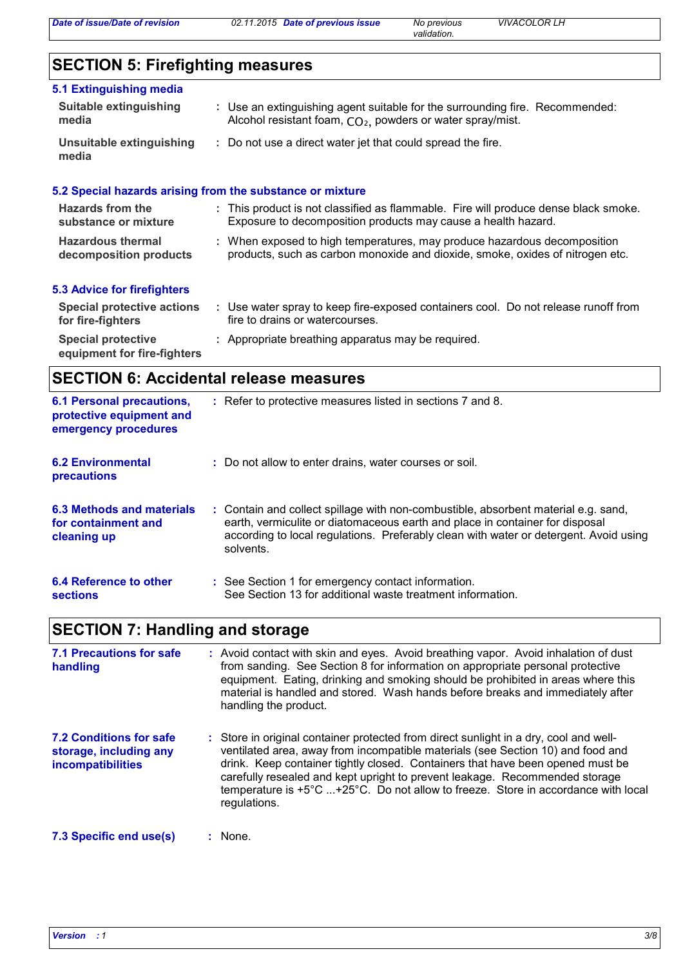*validation.*

# **SECTION 5: Firefighting measures**

| 5.1 Extinguishing media                  |                                                                                                                                                        |
|------------------------------------------|--------------------------------------------------------------------------------------------------------------------------------------------------------|
| Suitable extinguishing<br>media          | : Use an extinguishing agent suitable for the surrounding fire. Recommended:<br>Alcohol resistant foam, CO <sub>2</sub> , powders or water spray/mist. |
| Unsuitable extinguishing<br>media        | : Do not use a direct water jet that could spread the fire.                                                                                            |
|                                          | 5.2 Special hazards arising from the substance or mixture                                                                                              |
| Hazards from the<br>substance or mixture | : This product is not classified as flammable. Fire will produce dense black smoke.<br>Exposure to decomposition products may cause a health hazard.   |

**Hazardous thermal decomposition products** When exposed to high temperatures, may produce hazardous decomposition **:** products, such as carbon monoxide and dioxide, smoke, oxides of nitrogen etc.

#### **5.3 Advice for firefighters**

| Special protective actions<br>for fire-fighters          | Use water spray to keep fire-exposed containers cool. Do not release runoff from<br>fire to drains or watercourses. |
|----------------------------------------------------------|---------------------------------------------------------------------------------------------------------------------|
| <b>Special protective</b><br>equipment for fire-fighters | : Appropriate breathing apparatus may be required.                                                                  |

# **SECTION 6: Accidental release measures**

| <b>6.1 Personal precautions,</b><br>protective equipment and<br>emergency procedures | : Refer to protective measures listed in sections 7 and 8.                                                                                                                                                                                                               |
|--------------------------------------------------------------------------------------|--------------------------------------------------------------------------------------------------------------------------------------------------------------------------------------------------------------------------------------------------------------------------|
| <b>6.2 Environmental</b><br><b>precautions</b>                                       | : Do not allow to enter drains, water courses or soil.                                                                                                                                                                                                                   |
| 6.3 Methods and materials<br>for containment and<br>cleaning up                      | : Contain and collect spillage with non-combustible, absorbent material e.g. sand,<br>earth, vermiculite or diatomaceous earth and place in container for disposal<br>according to local regulations. Preferably clean with water or detergent. Avoid using<br>solvents. |
| 6.4 Reference to other<br><b>sections</b>                                            | : See Section 1 for emergency contact information.<br>See Section 13 for additional waste treatment information.                                                                                                                                                         |

# **SECTION 7: Handling and storage**

| 7.1 Precautions for safe<br>handling                                          | : Avoid contact with skin and eyes. Avoid breathing vapor. Avoid inhalation of dust<br>from sanding. See Section 8 for information on appropriate personal protective<br>equipment. Eating, drinking and smoking should be prohibited in areas where this<br>material is handled and stored. Wash hands before breaks and immediately after<br>handling the product.                                                                           |
|-------------------------------------------------------------------------------|------------------------------------------------------------------------------------------------------------------------------------------------------------------------------------------------------------------------------------------------------------------------------------------------------------------------------------------------------------------------------------------------------------------------------------------------|
| <b>7.2 Conditions for safe</b><br>storage, including any<br>incompatibilities | : Store in original container protected from direct sunlight in a dry, cool and well-<br>ventilated area, away from incompatible materials (see Section 10) and food and<br>drink. Keep container tightly closed. Containers that have been opened must be<br>carefully resealed and kept upright to prevent leakage. Recommended storage<br>temperature is +5°C +25°C. Do not allow to freeze. Store in accordance with local<br>regulations. |
| 7.3 Specific end use(s)                                                       | : None.                                                                                                                                                                                                                                                                                                                                                                                                                                        |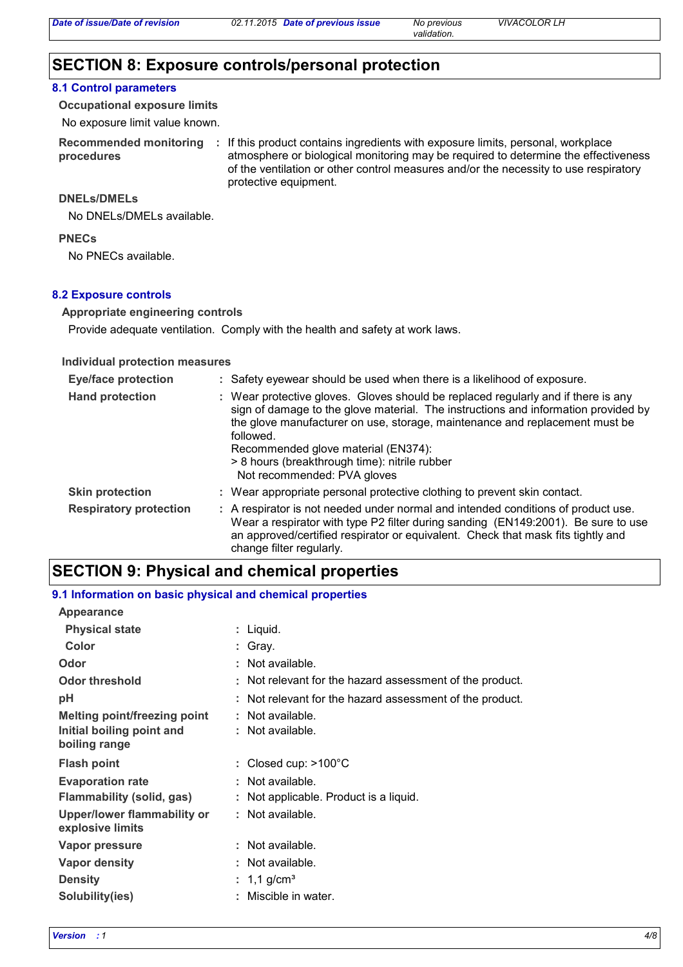# **SECTION 8: Exposure controls/personal protection**

#### **8.1 Control parameters**

**Occupational exposure limits**

No exposure limit value known.

**procedures**

**Recommended monitoring**  If this product contains ingredients with exposure limits, personal, workplace **:** atmosphere or biological monitoring may be required to determine the effectiveness of the ventilation or other control measures and/or the necessity to use respiratory protective equipment.

#### **DNELs/DMELs**

No DNELs/DMELs available.

**PNECs**

No PNECs available.

#### **8.2 Exposure controls**

#### **Appropriate engineering controls**

Provide adequate ventilation. Comply with the health and safety at work laws.

#### **Individual protection measures**

| <b>Eye/face protection</b>    | : Safety eyewear should be used when there is a likelihood of exposure.                                                                                                                                                                                                                                                                                                                    |
|-------------------------------|--------------------------------------------------------------------------------------------------------------------------------------------------------------------------------------------------------------------------------------------------------------------------------------------------------------------------------------------------------------------------------------------|
| <b>Hand protection</b>        | : Wear protective gloves. Gloves should be replaced regularly and if there is any<br>sign of damage to the glove material. The instructions and information provided by<br>the glove manufacturer on use, storage, maintenance and replacement must be<br>followed.<br>Recommended glove material (EN374):<br>> 8 hours (breakthrough time): nitrile rubber<br>Not recommended: PVA gloves |
| <b>Skin protection</b>        | : Wear appropriate personal protective clothing to prevent skin contact.                                                                                                                                                                                                                                                                                                                   |
| <b>Respiratory protection</b> | : A respirator is not needed under normal and intended conditions of product use.<br>Wear a respirator with type P2 filter during sanding (EN149:2001). Be sure to use<br>an approved/certified respirator or equivalent. Check that mask fits tightly and<br>change filter regularly.                                                                                                     |

### **SECTION 9: Physical and chemical properties**

#### **9.1 Information on basic physical and chemical properties**

| Appearance                                             |                                                          |
|--------------------------------------------------------|----------------------------------------------------------|
| <b>Physical state</b>                                  | : Liquid.                                                |
| Color                                                  | : Gray.                                                  |
| Odor                                                   | : Not available.                                         |
| Odor threshold                                         | : Not relevant for the hazard assessment of the product. |
| рH                                                     | : Not relevant for the hazard assessment of the product. |
| <b>Melting point/freezing point</b>                    | : Not available.                                         |
| Initial boiling point and<br>boiling range             | : Not available.                                         |
| <b>Flash point</b>                                     | : Closed cup: $>100^{\circ}$ C                           |
| <b>Evaporation rate</b>                                | : Not available.                                         |
| Flammability (solid, gas)                              | : Not applicable. Product is a liquid.                   |
| <b>Upper/lower flammability or</b><br>explosive limits | : Not available.                                         |
|                                                        |                                                          |
| Vapor pressure                                         | : Not available.                                         |
| <b>Vapor density</b>                                   | : Not available.                                         |
| <b>Density</b>                                         | : 1,1 g/cm <sup>3</sup>                                  |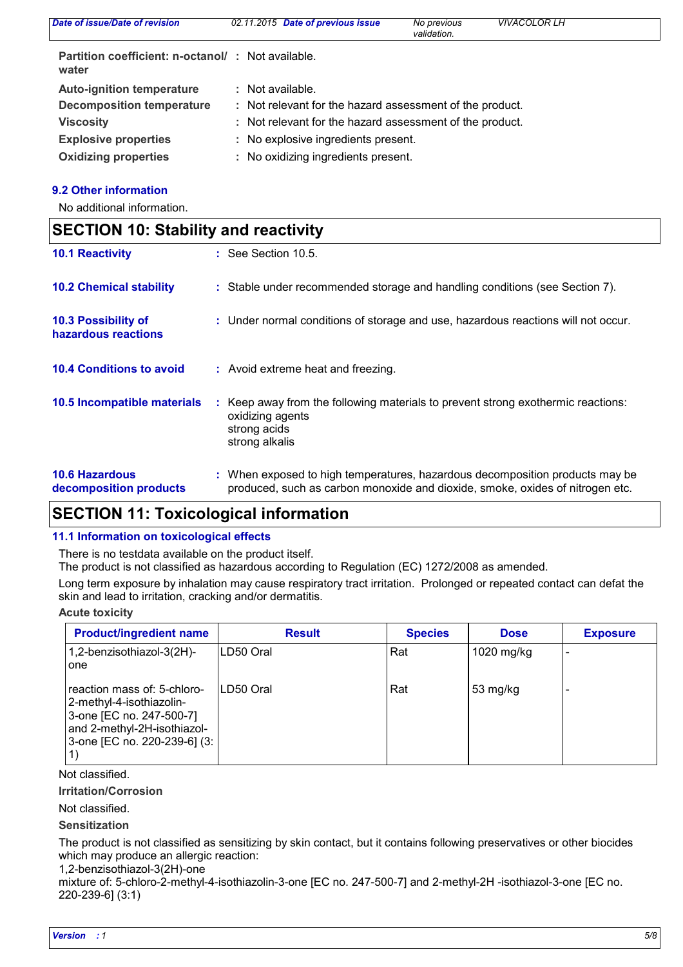| Date of issue/Date of revision                             | 02.11.2015 Date of previous issue                        | No previous<br>validation. | <b>VIVACOLOR LH</b> |
|------------------------------------------------------------|----------------------------------------------------------|----------------------------|---------------------|
| Partition coefficient: n-octanol/: Not available.<br>water |                                                          |                            |                     |
| <b>Auto-ignition temperature</b>                           | : Not available.                                         |                            |                     |
| <b>Decomposition temperature</b>                           | : Not relevant for the hazard assessment of the product. |                            |                     |
| <b>Viscosity</b>                                           | : Not relevant for the hazard assessment of the product. |                            |                     |
| <b>Explosive properties</b>                                | : No explosive ingredients present.                      |                            |                     |
| <b>Oxidizing properties</b>                                | : No oxidizing ingredients present.                      |                            |                     |

#### **9.2 Other information**

 $\mathsf{r}$ 

No additional information.

| <b>SECTION 10: Stability and reactivity</b>     |  |                                                                                                                                                               |  |  |
|-------------------------------------------------|--|---------------------------------------------------------------------------------------------------------------------------------------------------------------|--|--|
| <b>10.1 Reactivity</b>                          |  | $\therefore$ See Section 10.5.                                                                                                                                |  |  |
| <b>10.2 Chemical stability</b>                  |  | : Stable under recommended storage and handling conditions (see Section 7).                                                                                   |  |  |
| 10.3 Possibility of<br>hazardous reactions      |  | : Under normal conditions of storage and use, hazardous reactions will not occur.                                                                             |  |  |
| <b>10.4 Conditions to avoid</b>                 |  | : Avoid extreme heat and freezing.                                                                                                                            |  |  |
| 10.5 Incompatible materials                     |  | : Keep away from the following materials to prevent strong exothermic reactions:<br>oxidizing agents<br>strong acids<br>strong alkalis                        |  |  |
| <b>10.6 Hazardous</b><br>decomposition products |  | : When exposed to high temperatures, hazardous decomposition products may be<br>produced, such as carbon monoxide and dioxide, smoke, oxides of nitrogen etc. |  |  |

# **SECTION 11: Toxicological information**

#### **11.1 Information on toxicological effects**

There is no testdata available on the product itself.

The product is not classified as hazardous according to Regulation (EC) 1272/2008 as amended.

Long term exposure by inhalation may cause respiratory tract irritation. Prolonged or repeated contact can defat the skin and lead to irritation, cracking and/or dermatitis.

#### **Acute toxicity**

| <b>Product/ingredient name</b>                                                                                                                     | <b>Result</b> | <b>Species</b> | <b>Dose</b> | <b>Exposure</b> |
|----------------------------------------------------------------------------------------------------------------------------------------------------|---------------|----------------|-------------|-----------------|
| 1,2-benzisothiazol-3(2H)-<br>one                                                                                                                   | LD50 Oral     | Rat            | 1020 mg/kg  |                 |
| reaction mass of: 5-chloro-<br>2-methyl-4-isothiazolin-<br>3-one [EC no. 247-500-7]<br>and 2-methyl-2H-isothiazol-<br>3-one [EC no. 220-239-6] (3: | ILD50 Oral    | Rat            | 53 mg/kg    |                 |

Not classified.

**Irritation/Corrosion**

Not classified.

**Sensitization**

The product is not classified as sensitizing by skin contact, but it contains following preservatives or other biocides which may produce an allergic reaction:

1,2-benzisothiazol-3(2H)-one

mixture of: 5-chloro-2-methyl-4-isothiazolin-3-one [EC no. 247-500-7] and 2-methyl-2H -isothiazol-3-one [EC no. 220-239-6] (3:1)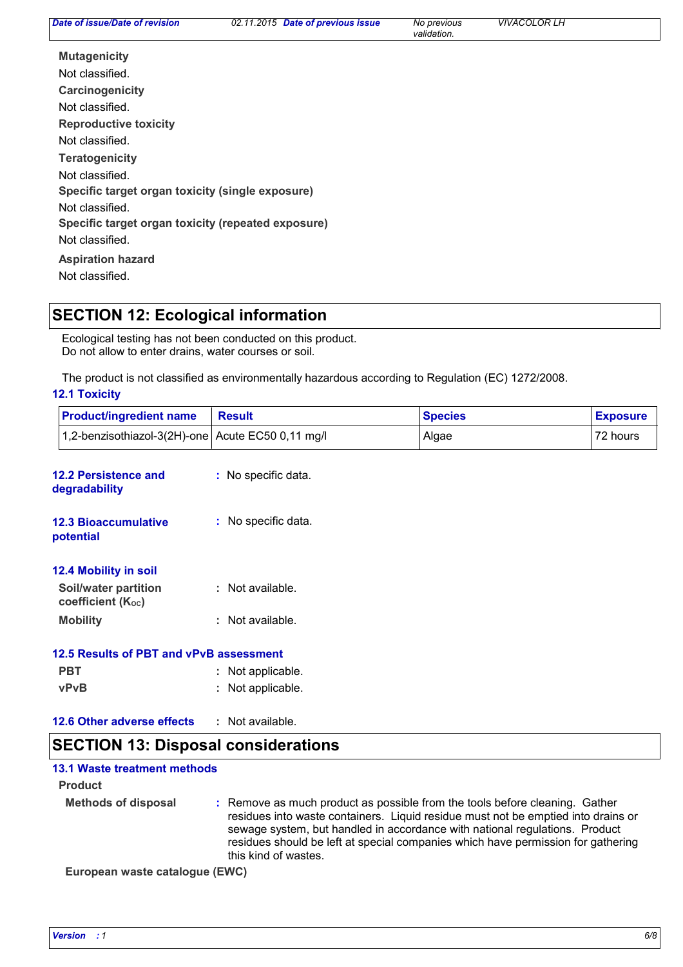*validation.*

**Carcinogenicity Mutagenicity Teratogenicity Reproductive toxicity Specific target organ toxicity (single exposure) Specific target organ toxicity (repeated exposure) Aspiration hazard** Not classified. Not classified. Not classified. Not classified. Not classified. Not classified. Not classified.

### **SECTION 12: Ecological information**

Ecological testing has not been conducted on this product. Do not allow to enter drains, water courses or soil.

The product is not classified as environmentally hazardous according to Regulation (EC) 1272/2008.

#### **12.1 Toxicity**

| <b>Product/ingredient name</b>                    | <b>Result</b>       | <b>Species</b> | <b>Exposure</b> |
|---------------------------------------------------|---------------------|----------------|-----------------|
| 1,2-benzisothiazol-3(2H)-one Acute EC50 0,11 mg/l |                     | Algae          | 72 hours        |
| <b>12.2 Persistence and</b><br>degradability      | : No specific data. |                |                 |
| <b>12.3 Bioaccumulative</b><br>potential          | : No specific data. |                |                 |
| 12.4 Mobility in soil                             |                     |                |                 |
| Soil/water partition<br>coefficient $(K_{oc})$    | : Not available.    |                |                 |
| <b>Mobility</b>                                   | : Not available.    |                |                 |
| 12.5 Results of PBT and vPvB assessment           |                     |                |                 |
| <b>PBT</b>                                        | : Not applicable.   |                |                 |
| <b>vPvB</b>                                       | : Not applicable.   |                |                 |
| 12.6 Other adverse effects                        | : Not available.    |                |                 |
| <b>SECTION 13: Disposal considerations</b>        |                     |                |                 |

#### **13.1 Waste treatment methods**

#### **Product**

**Methods of disposal :** Remove as much product as possible from the tools before cleaning. Gather residues into waste containers. Liquid residue must not be emptied into drains or sewage system, but handled in accordance with national regulations. Product residues should be left at special companies which have permission for gathering this kind of wastes.

**European waste catalogue (EWC)**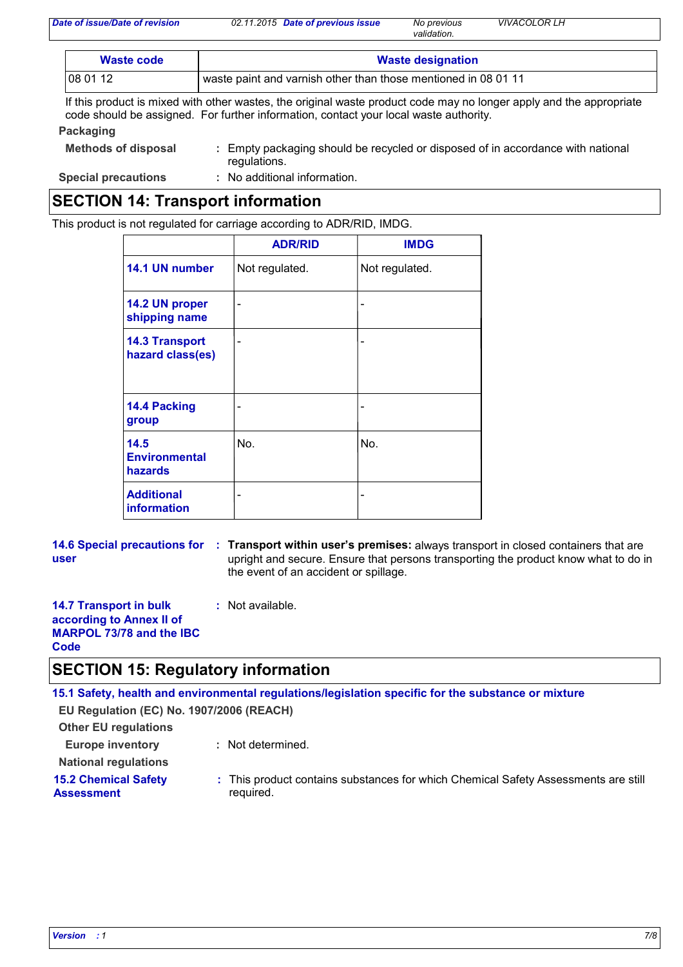| Date of issue/Date of revision | 02.11.2015 Date of previous issue | No previous | <b>VIVACOLOR LH</b> |
|--------------------------------|-----------------------------------|-------------|---------------------|
|                                |                                   | validation. |                     |

| Waste code | <b>Waste designation</b>                                       |  |  |
|------------|----------------------------------------------------------------|--|--|
| 108 01 12  | waste paint and varnish other than those mentioned in 08 01 11 |  |  |

If this product is mixed with other wastes, the original waste product code may no longer apply and the appropriate code should be assigned. For further information, contact your local waste authority.

#### **Packaging**

| <b>Methods of disposal</b> | : Empty packaging should be recycled or disposed of in accordance with national<br>regulations. |
|----------------------------|-------------------------------------------------------------------------------------------------|
|                            |                                                                                                 |

**Special precautions :** No additional information.

### **SECTION 14: Transport information**

This product is not regulated for carriage according to ADR/RID, IMDG.

|                                           | <b>ADR/RID</b> | <b>IMDG</b>    |
|-------------------------------------------|----------------|----------------|
| 14.1 UN number                            | Not regulated. | Not regulated. |
| 14.2 UN proper<br>shipping name           |                |                |
| <b>14.3 Transport</b><br>hazard class(es) |                |                |
| <b>14.4 Packing</b><br>group              |                |                |
| 14.5<br><b>Environmental</b><br>hazards   | No.            | No.            |
| <b>Additional</b><br><b>information</b>   |                |                |

**14.6 Special precautions for : Transport within user's premises: always transport in closed containers that are user** upright and secure. Ensure that persons transporting the product know what to do in the event of an accident or spillage.

**14.7 Transport in bulk according to Annex II of MARPOL 73/78 and the IBC :** Not available.

### **Code SECTION 15: Regulatory information**

**15.1 Safety, health and environmental regulations/legislation specific for the substance or mixture**

**EU Regulation (EC) No. 1907/2006 (REACH)**

**Other EU regulations**

**Europe inventory :** Not determined.

**National regulations 15.2 Chemical Safety** 

**Assessment**

This product contains substances for which Chemical Safety Assessments are still **:** required.